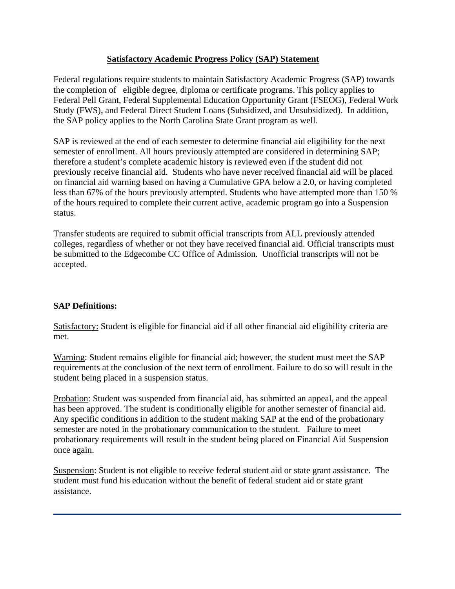### **Satisfactory Academic Progress Policy (SAP) Statement**

Federal regulations require students to maintain Satisfactory Academic Progress (SAP) towards the completion of eligible degree, diploma or certificate programs. This policy applies to Federal Pell Grant, Federal Supplemental Education Opportunity Grant (FSEOG), Federal Work Study (FWS), and Federal Direct Student Loans (Subsidized, and Unsubsidized). In addition, the SAP policy applies to the North Carolina State Grant program as well.

SAP is reviewed at the end of each semester to determine financial aid eligibility for the next semester of enrollment. All hours previously attempted are considered in determining SAP; therefore a student's complete academic history is reviewed even if the student did not previously receive financial aid. Students who have never received financial aid will be placed on financial aid warning based on having a Cumulative GPA below a 2.0, or having completed less than 67% of the hours previously attempted. Students who have attempted more than 150 % of the hours required to complete their current active, academic program go into a Suspension status.

Transfer students are required to submit official transcripts from ALL previously attended colleges, regardless of whether or not they have received financial aid. Official transcripts must be submitted to the Edgecombe CC Office of Admission. Unofficial transcripts will not be accepted.

### **SAP Definitions:**

Satisfactory: Student is eligible for financial aid if all other financial aid eligibility criteria are met.

Warning: Student remains eligible for financial aid; however, the student must meet the SAP requirements at the conclusion of the next term of enrollment. Failure to do so will result in the student being placed in a suspension status.

Probation: Student was suspended from financial aid, has submitted an appeal, and the appeal has been approved. The student is conditionally eligible for another semester of financial aid. Any specific conditions in addition to the student making SAP at the end of the probationary semester are noted in the probationary communication to the student. Failure to meet probationary requirements will result in the student being placed on Financial Aid Suspension once again.

Suspension: Student is not eligible to receive federal student aid or state grant assistance. The student must fund his education without the benefit of federal student aid or state grant assistance.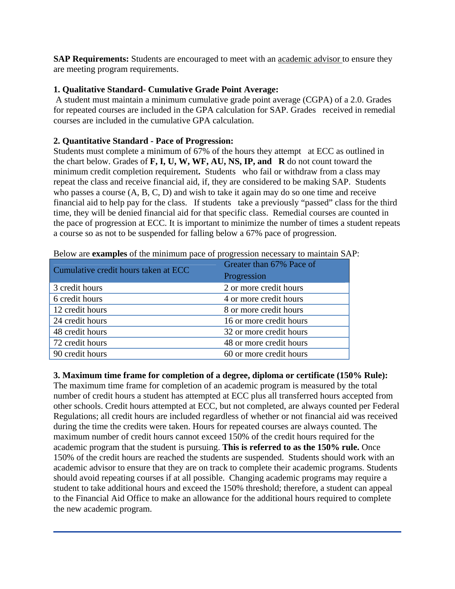**SAP Requirements:** Students are encouraged to meet with an academic advisor to ensure they are meeting program requirements.

## **1. Qualitative Standard- Cumulative Grade Point Average:**

 A student must maintain a minimum cumulative grade point average (CGPA) of a 2.0. Grades for repeated courses are included in the GPA calculation for SAP. Grades received in remedial courses are included in the cumulative GPA calculation.

### **2. Quantitative Standard - Pace of Progression:**

Students must complete a minimum of 67% of the hours they attempt at ECC as outlined in the chart below. Grades of **F, I, U, W, WF, AU, NS, IP, and R** do not count toward the minimum credit completion requirement**.** Students who fail or withdraw from a class may repeat the class and receive financial aid, if, they are considered to be making SAP. Students who passes a course (A, B, C, D) and wish to take it again may do so one time and receive financial aid to help pay for the class. If students take a previously "passed" class for the third time, they will be denied financial aid for that specific class. Remedial courses are counted in the pace of progression at ECC. It is important to minimize the number of times a student repeats a course so as not to be suspended for falling below a 67% pace of progression.

| Cumulative credit hours taken at ECC | Greater than 67% Pace of<br>Progression |
|--------------------------------------|-----------------------------------------|
| 3 credit hours                       | 2 or more credit hours                  |
| 6 credit hours                       | 4 or more credit hours                  |
| 12 credit hours                      | 8 or more credit hours                  |
| 24 credit hours                      | 16 or more credit hours                 |
| 48 credit hours                      | 32 or more credit hours                 |
| 72 credit hours                      | 48 or more credit hours                 |
| 90 credit hours                      | 60 or more credit hours                 |

Below are **examples** of the minimum pace of progression necessary to maintain SAP:

# **3. Maximum time frame for completion of a degree, diploma or certificate (150% Rule):**

The maximum time frame for completion of an academic program is measured by the total number of credit hours a student has attempted at ECC plus all transferred hours accepted from other schools. Credit hours attempted at ECC, but not completed, are always counted per Federal Regulations; all credit hours are included regardless of whether or not financial aid was received during the time the credits were taken. Hours for repeated courses are always counted. The maximum number of credit hours cannot exceed 150% of the credit hours required for the academic program that the student is pursuing. **This is referred to as the 150% rule.** Once 150% of the credit hours are reached the students are suspended. Students should work with an academic advisor to ensure that they are on track to complete their academic programs. Students should avoid repeating courses if at all possible. Changing academic programs may require a student to take additional hours and exceed the 150% threshold; therefore, a student can appeal to the Financial Aid Office to make an allowance for the additional hours required to complete the new academic program.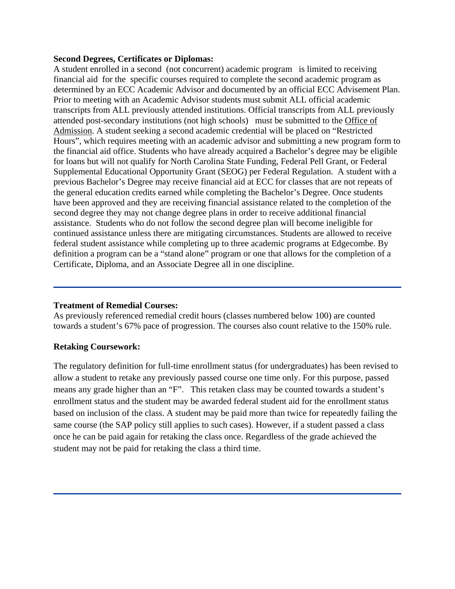#### **Second Degrees, Certificates or Diplomas:**

A student enrolled in a second (not concurrent) academic program is limited to receiving financial aid for the specific courses required to complete the second academic program as determined by an ECC Academic Advisor and documented by an official ECC Advisement Plan. Prior to meeting with an Academic Advisor students must submit ALL official academic transcripts from ALL previously attended institutions. Official transcripts from ALL previously attended post-secondary institutions (not high schools) must be submitted to the Office of Admission. A student seeking a second academic credential will be placed on "Restricted Hours", which requires meeting with an academic advisor and submitting a new program form to the financial aid office. Students who have already acquired a Bachelor's degree may be eligible for loans but will not qualify for North Carolina State Funding, Federal Pell Grant, or Federal Supplemental Educational Opportunity Grant (SEOG) per Federal Regulation. A student with a previous Bachelor's Degree may receive financial aid at ECC for classes that are not repeats of the general education credits earned while completing the Bachelor's Degree. Once students have been approved and they are receiving financial assistance related to the completion of the second degree they may not change degree plans in order to receive additional financial assistance. Students who do not follow the second degree plan will become ineligible for continued assistance unless there are mitigating circumstances. Students are allowed to receive federal student assistance while completing up to three academic programs at Edgecombe. By definition a program can be a "stand alone" program or one that allows for the completion of a Certificate, Diploma, and an Associate Degree all in one discipline.

### **Treatment of Remedial Courses:**

As previously referenced remedial credit hours (classes numbered below 100) are counted towards a student's 67% pace of progression. The courses also count relative to the 150% rule.

### **Retaking Coursework:**

The regulatory definition for full-time enrollment status (for undergraduates) has been revised to allow a student to retake any previously passed course one time only. For this purpose, passed means any grade higher than an "F". This retaken class may be counted towards a student's enrollment status and the student may be awarded federal student aid for the enrollment status based on inclusion of the class. A student may be paid more than twice for repeatedly failing the same course (the SAP policy still applies to such cases). However, if a student passed a class once he can be paid again for retaking the class once. Regardless of the grade achieved the student may not be paid for retaking the class a third time.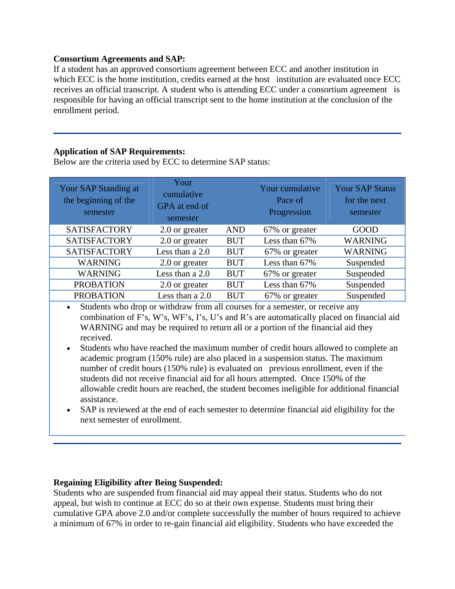### **Consortium Agreements and SAP:**

If a student has an approved consortium agreement between ECC and another institution in which ECC is the home institution, credits earned at the host institution are evaluated once ECC receives an official transcript. A student who is attending ECC under a consortium agreement is responsible for having an official transcript sent to the home institution at the conclusion of the enrollment period.

### **Application of SAP Requirements:**

Below are the criteria used by ECC to determine SAP status:

| Your SAP Standing at<br>the beginning of the<br>semester | Your<br>cumulative<br>GPA at end of<br>semester |            | Your cumulative<br>Pace of<br>Progression | <b>Your SAP Status</b><br>for the next<br>semester |
|----------------------------------------------------------|-------------------------------------------------|------------|-------------------------------------------|----------------------------------------------------|
| <b>SATISFACTORY</b>                                      | 2.0 or greater                                  | <b>AND</b> | 67% or greater                            | <b>GOOD</b>                                        |
| <b>SATISFACTORY</b>                                      | 2.0 or greater                                  | <b>BUT</b> | Less than 67%                             | <b>WARNING</b>                                     |
| <b>SATISFACTORY</b>                                      | Less than a 2.0                                 | <b>BUT</b> | 67% or greater                            | <b>WARNING</b>                                     |
| <b>WARNING</b>                                           | 2.0 or greater                                  | <b>BUT</b> | Less than 67%                             | Suspended                                          |
| <b>WARNING</b>                                           | Less than a 2.0                                 | <b>BUT</b> | 67% or greater                            | Suspended                                          |
| <b>PROBATION</b>                                         | 2.0 or greater                                  | <b>BUT</b> | Less than 67%                             | Suspended                                          |
| <b>PROBATION</b>                                         | Less than a 2.0                                 | <b>BUT</b> | 67% or greater                            | Suspended                                          |

 Students who drop or withdraw from all courses for a semester, or receive any combination of F's, W's, WF's, I's, U's and R's are automatically placed on financial aid WARNING and may be required to return all or a portion of the financial aid they received.

- Students who have reached the maximum number of credit hours allowed to complete an academic program (150% rule) are also placed in a suspension status. The maximum number of credit hours (150% rule) is evaluated on previous enrollment, even if the students did not receive financial aid for all hours attempted. Once 150% of the allowable credit hours are reached, the student becomes ineligible for additional financial assistance.
- SAP is reviewed at the end of each semester to determine financial aid eligibility for the next semester of enrollment.

### **Regaining Eligibility after Being Suspended:**

Students who are suspended from financial aid may appeal their status. Students who do not appeal, but wish to continue at ECC do so at their own expense. Students must bring their cumulative GPA above 2.0 and/or complete successfully the number of hours required to achieve a minimum of 67% in order to re-gain financial aid eligibility. Students who have exceeded the